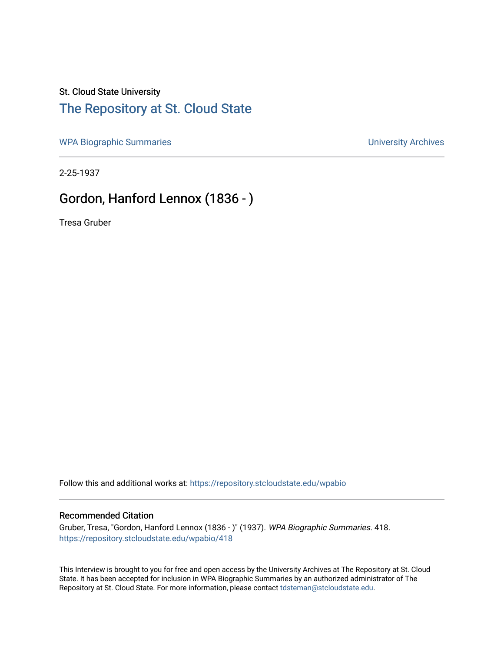#### St. Cloud State University

### [The Repository at St. Cloud State](https://repository.stcloudstate.edu/)

[WPA Biographic Summaries](https://repository.stcloudstate.edu/wpabio) **WPA Biographic Summaries University Archives** 

2-25-1937

## Gordon, Hanford Lennox (1836 - )

Tresa Gruber

Follow this and additional works at: [https://repository.stcloudstate.edu/wpabio](https://repository.stcloudstate.edu/wpabio?utm_source=repository.stcloudstate.edu%2Fwpabio%2F418&utm_medium=PDF&utm_campaign=PDFCoverPages) 

#### Recommended Citation

Gruber, Tresa, "Gordon, Hanford Lennox (1836 - )" (1937). WPA Biographic Summaries. 418. [https://repository.stcloudstate.edu/wpabio/418](https://repository.stcloudstate.edu/wpabio/418?utm_source=repository.stcloudstate.edu%2Fwpabio%2F418&utm_medium=PDF&utm_campaign=PDFCoverPages) 

This Interview is brought to you for free and open access by the University Archives at The Repository at St. Cloud State. It has been accepted for inclusion in WPA Biographic Summaries by an authorized administrator of The Repository at St. Cloud State. For more information, please contact [tdsteman@stcloudstate.edu.](mailto:tdsteman@stcloudstate.edu)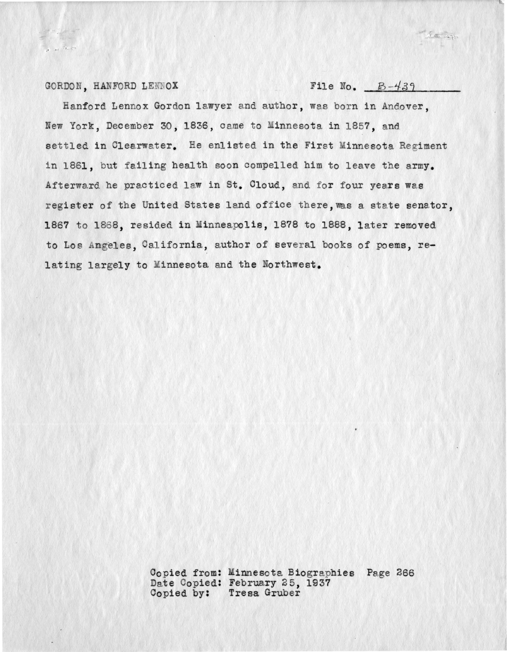GORDON, HANFORD LENNOX File No.  $B-439$ 

of my tracks

 $\mathcal{L} = \mathcal{L}_{\text{th}}$ 

Hanford Lennox Gordon lawyer and author, was born in Andover, New York, December 30, 1836, came to Minnesota in 1857, and settled in Clearwater. He enlisted in the First Minnesota Regiment in 1861, but failing health soon compelled him to leave the army. Afterward he practiced law in St. Cloud, and for four years was register of the United States land office there, was a state senator, 1867 to 1868, resided in Minneapolis, 1878 to 1888, later removed to Los Angeles, California, author of several books of poems, relating largely to Minnesota and the Northwest.

> Copied from: Minnesota Biographies Page 266 Date Copied: February 25, 1937 Copied by: Tresa Gruber